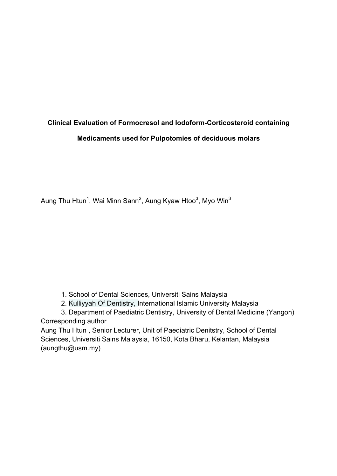# **Clinical Evaluation of Formocresol and Iodoform-Corticosteroid containing Medicaments used for Pulpotomies of deciduous molars**

Aung Thu Htun<sup>1</sup>, Wai Minn Sann<sup>2</sup>, Aung Kyaw Htoo<sup>3</sup>, Myo Win<sup>3</sup>

- 1. School of Dental Sciences, Universiti Sains Malaysia
- 2. Kulliyyah Of Dentistry, International Islamic University Malaysia
- 3. Department of Paediatric Dentistry, University of Dental Medicine (Yangon) Corresponding author

Aung Thu Htun , Senior Lecturer, Unit of Paediatric Denitstry, School of Dental Sciences, Universiti Sains Malaysia, 16150, Kota Bharu, Kelantan, Malaysia (aungthu@usm.my)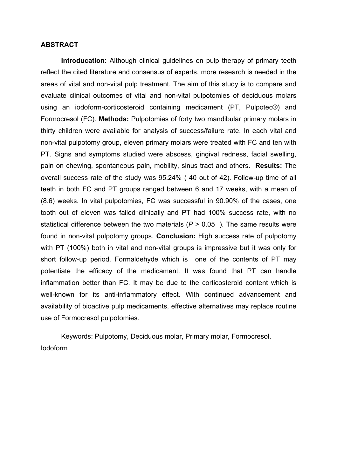#### **ABSTRACT**

**Introducation:** Although clinical guidelines on pulp therapy of primary teeth reflect the cited literature and consensus of experts, more research is needed in the areas of vital and non-vital pulp treatment. The aim of this study is to compare and evaluate clinical outcomes of vital and non-vital pulpotomies of deciduous molars using an iodoform-corticosteroid containing medicament (PT, Pulpotec®) and Formocresol (FC). **Methods:** Pulpotomies of forty two mandibular primary molars in thirty children were available for analysis of success/failure rate. In each vital and non-vital pulpotomy group, eleven primary molars were treated with FC and ten with PT. Signs and symptoms studied were abscess, gingival redness, facial swelling, pain on chewing, spontaneous pain, mobility, sinus tract and others. **Results:** The overall success rate of the study was 95.24% ( 40 out of 42). Follow-up time of all teeth in both FC and PT groups ranged between 6 and 17 weeks, with a mean of (8.6) weeks. In vital pulpotomies, FC was successful in 90.90% of the cases, one tooth out of eleven was failed clinically and PT had 100% success rate, with no statistical difference between the two materials  $(P > 0.05)$ . The same results were found in non-vital pulpotomy groups. **Conclusion:** High success rate of pulpotomy with PT (100%) both in vital and non-vital groups is impressive but it was only for short follow-up period. Formaldehyde which is one of the contents of PT may potentiate the efficacy of the medicament. It was found that PT can handle inflammation better than FC. It may be due to the corticosteroid content which is well-known for its anti-inflammatory effect. With continued advancement and availability of bioactive pulp medicaments, effective alternatives may replace routine use of Formocresol pulpotomies.

Keywords: Pulpotomy, Deciduous molar, Primary molar, Formocresol, Iodoform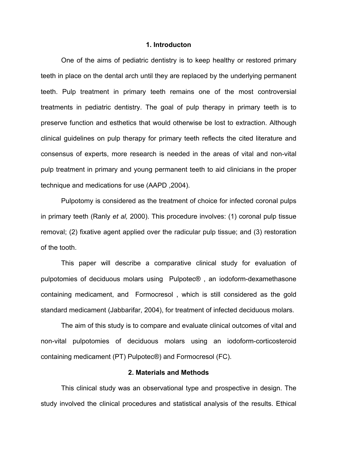#### **1. Introducton**

One of the aims of pediatric dentistry is to keep healthy or restored primary teeth in place on the dental arch until they are replaced by the underlying permanent teeth. Pulp treatment in primary teeth remains one of the most controversial treatments in pediatric dentistry. The goal of pulp therapy in primary teeth is to preserve function and esthetics that would otherwise be lost to extraction. Although clinical guidelines on pulp therapy for primary teeth reflects the cited literature and consensus of experts, more research is needed in the areas of vital and non-vital pulp treatment in primary and young permanent teeth to aid clinicians in the proper technique and medications for use (AAPD ,2004).

Pulpotomy is considered as the treatment of choice for infected coronal pulps in primary teeth (Ranly *et al,* 2000). This procedure involves: (1) coronal pulp tissue removal; (2) fixative agent applied over the radicular pulp tissue; and (3) restoration of the tooth.

This paper will describe a comparative clinical study for evaluation of pulpotomies of deciduous molars using Pulpotec® , an iodoform-dexamethasone containing medicament, and Formocresol , which is still considered as the gold standard medicament (Jabbarifar, 2004), for treatment of infected deciduous molars.

The aim of this study is to compare and evaluate clinical outcomes of vital and non-vital pulpotomies of deciduous molars using an iodoform-corticosteroid containing medicament (PT) Pulpotec®) and Formocresol (FC).

#### **2. Materials and Methods**

This clinical study was an observational type and prospective in design. The study involved the clinical procedures and statistical analysis of the results. Ethical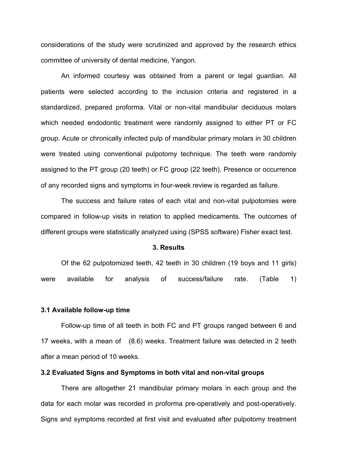considerations of the study were scrutinized and approved by the research ethics committee of university of dental medicine, Yangon.

An informed courtesy was obtained from a parent or legal guardian. All patients were selected according to the inclusion criteria and registered in a standardized, prepared proforma. Vital or non-vital mandibular deciduous molars which needed endodontic treatment were randomly assigned to either PT or FC group. Acute or chronically infected pulp of mandibular primary molars in 30 children were treated using conventional pulpotomy technique. The teeth were randomly assigned to the PT group (20 teeth) or FC group (22 teeth). Presence or occurrence of any recorded signs and symptoms in four-week review is regarded as failure.

The success and failure rates of each vital and non-vital pulpotomies were compared in follow-up visits in relation to applied medicaments. The outcomes of different groups were statistically analyzed using (SPSS software) Fisher exact test.

#### **3. Results**

Of the 62 pulpotomized teeth, 42 teeth in 30 children (19 boys and 11 girls) were available for analysis of success/failure rate. (Table 1)

## **3.1 Available follow-up time**

Follow-up time of all teeth in both FC and PT groups ranged between 6 and 17 weeks, with a mean of (8.6) weeks. Treatment failure was detected in 2 teeth after a mean period of 10 weeks.

#### **3.2 Evaluated Signs and Symptoms in both vital and non-vital groups**

There are altogether 21 mandibular primary molars in each group and the data for each molar was recorded in proforma pre-operatively and post-operatively. Signs and symptoms recorded at first visit and evaluated after pulpotomy treatment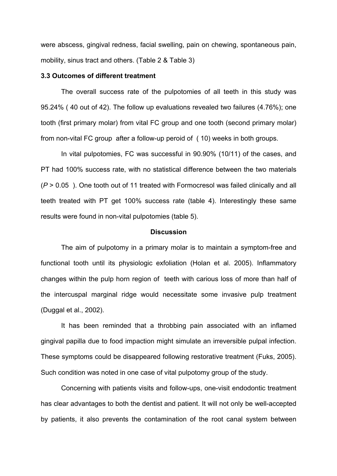were abscess, gingival redness, facial swelling, pain on chewing, spontaneous pain, mobility, sinus tract and others. (Table 2 & Table 3)

#### **3.3 Outcomes of different treatment**

The overall success rate of the pulpotomies of all teeth in this study was 95.24% ( 40 out of 42). The follow up evaluations revealed two failures (4.76%); one tooth (first primary molar) from vital FC group and one tooth (second primary molar) from non-vital FC group after a follow-up peroid of ( 10) weeks in both groups.

In vital pulpotomies, FC was successful in 90.90% (10/11) of the cases, and PT had 100% success rate, with no statistical difference between the two materials (*P* > 0.05 ). One tooth out of 11 treated with Formocresol was failed clinically and all teeth treated with PT get 100% success rate (table 4). Interestingly these same results were found in non-vital pulpotomies (table 5).

#### **Discussion**

The aim of pulpotomy in a primary molar is to maintain a symptom-free and functional tooth until its physiologic exfoliation (Holan et al. 2005). Inflammatory changes within the pulp horn region of teeth with carious loss of more than half of the intercuspal marginal ridge would necessitate some invasive pulp treatment (Duggal et al., 2002).

It has been reminded that a throbbing pain associated with an inflamed gingival papilla due to food impaction might simulate an irreversible pulpal infection. These symptoms could be disappeared following restorative treatment (Fuks, 2005). Such condition was noted in one case of vital pulpotomy group of the study.

Concerning with patients visits and follow-ups, one-visit endodontic treatment has clear advantages to both the dentist and patient. It will not only be well-accepted by patients, it also prevents the contamination of the root canal system between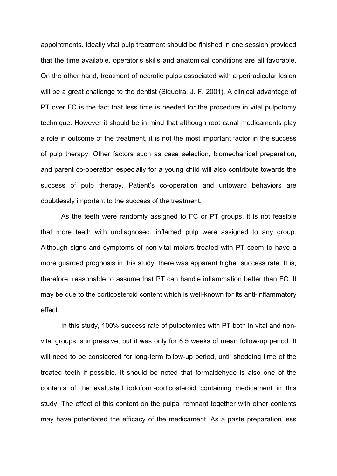appointments. Ideally vital pulp treatment should be finished in one session provided that the time available, operator's skills and anatomical conditions are all favorable. On the other hand, treatment of necrotic pulps associated with a periradicular lesion will be a great challenge to the dentist (Siqueira, J. F, 2001). A clinical advantage of PT over FC is the fact that less time is needed for the procedure in vital pulpotomy technique. However it should be in mind that although root canal medicaments play a role in outcome of the treatment, it is not the most important factor in the success of pulp therapy. Other factors such as case selection, biomechanical preparation, and parent co-operation especially for a young child will also contribute towards the success of pulp therapy. Patient's co-operation and untoward behaviors are doubtlessly important to the success of the treatment.

As the teeth were randomly assigned to FC or PT groups, it is not feasible that more teeth with undiagnosed, inflamed pulp were assigned to any group. Although signs and symptoms of non-vital molars treated with PT seem to have a more guarded prognosis in this study, there was apparent higher success rate. It is, therefore, reasonable to assume that PT can handle inflammation better than FC. It may be due to the corticosteroid content which is well-known for its anti-inflammatory effect.

In this study, 100% success rate of pulpotomies with PT both in vital and nonvital groups is impressive, but it was only for 8.5 weeks of mean follow-up period. It will need to be considered for long-term follow-up period, until shedding time of the treated teeth if possible. It should be noted that formaldehyde is also one of the contents of the evaluated iodoform-corticosteroid containing medicament in this study. The effect of this content on the pulpal remnant together with other contents may have potentiated the efficacy of the medicament. As a paste preparation less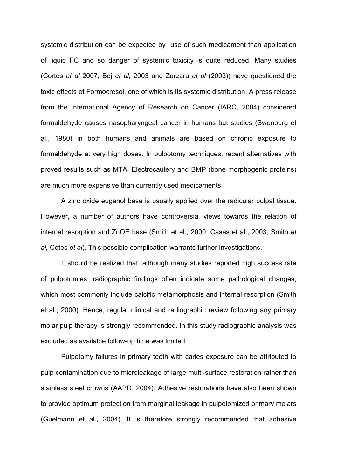systemic distribution can be expected by use of such medicament than application of liquid FC and so danger of systemic toxicity is quite reduced. Many studies (Cortes *et al* 2007, Boj *et al,* 2003 and Zarzara *et al* (2003)) have questioned the toxic effects of Formocresol, one of which is its systemic distribution. A press release from the International Agency of Research on Cancer (IARC, 2004) considered formaldehyde causes nasopharyngeal cancer in humans but studies (Swenburg et al., 1980) in both humans and animals are based on chronic exposure to formaldehyde at very high doses. In pulpotomy techniques, recent alternatives with proved results such as MTA, Electrocautery and BMP (bone morphogenic proteins) are much more expensive than currently used medicaments.

A zinc oxide eugenol base is usually applied over the radicular pulpal tissue. However, a number of authors have controversial views towards the relation of internal resorption and ZnOE base (Smith et al., 2000; Casas et al., 2003, Smith *et al,* Cotes *et al*). This possible complication warrants further investigations.

It should be realized that, although many studies reported high success rate of pulpotomies, radiographic findings often indicate some pathological changes, which most commonly include calcific metamorphosis and internal resorption (Smith et al., 2000). Hence, regular clinical and radiographic review following any primary molar pulp therapy is strongly recommended. In this study radiographic analysis was excluded as available follow-up time was limited.

Pulpotomy failures in primary teeth with caries exposure can be attributed to pulp contamination due to microleakage of large multi-surface restoration rather than stainless steel crowns (AAPD, 2004). Adhesive restorations have also been shown to provide optimum protection from marginal leakage in pulpotomized primary molars (Guelmann et al., 2004). It is therefore strongly recommended that adhesive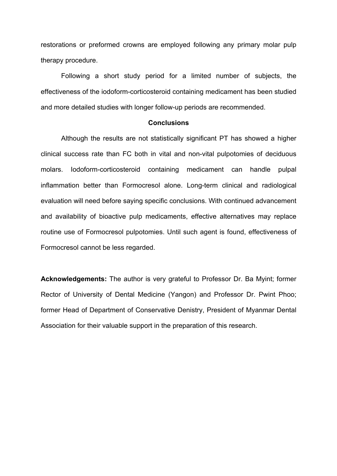restorations or preformed crowns are employed following any primary molar pulp therapy procedure.

Following a short study period for a limited number of subjects, the effectiveness of the iodoform-corticosteroid containing medicament has been studied and more detailed studies with longer follow-up periods are recommended.

#### **Conclusions**

Although the results are not statistically significant PT has showed a higher clinical success rate than FC both in vital and non-vital pulpotomies of deciduous molars. Iodoform-corticosteroid containing medicament can handle pulpal inflammation better than Formocresol alone. Long-term clinical and radiological evaluation will need before saying specific conclusions. With continued advancement and availability of bioactive pulp medicaments, effective alternatives may replace routine use of Formocresol pulpotomies. Until such agent is found, effectiveness of Formocresol cannot be less regarded.

**Acknowledgements:** The author is very grateful to Professor Dr. Ba Myint; former Rector of University of Dental Medicine (Yangon) and Professor Dr. Pwint Phoo; former Head of Department of Conservative Denistry, President of Myanmar Dental Association for their valuable support in the preparation of this research.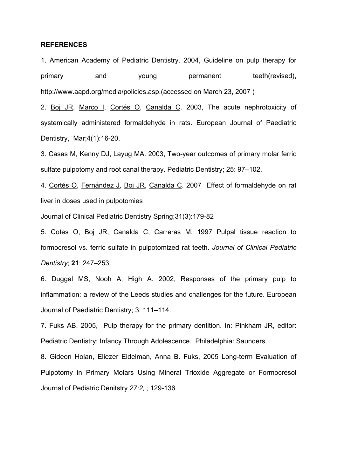#### **REFERENCES**

1. American Academy of Pediatric Dentistry. 2004, Guideline on pulp therapy for primary and young permanent teeth(revised), http://www.aapd.org/media/policies.asp.(accessed on March 23, 2007 )

2. Boj JR, Marco I, Cortés O, Canalda C. 2003, The acute nephrotoxicity of systemically administered formaldehyde in rats. European Journal of Paediatric Dentistry, Mar;4(1):16-20.

3. Casas M, Kenny DJ, Layug MA. 2003, Two-year outcomes of primary molar ferric sulfate pulpotomy and root canal therapy. Pediatric Dentistry; 25: 97–102.

4. Cortés O, Fernández J, Boj JR, Canalda C. 2007 Effect of formaldehyde on rat liver in doses used in pulpotomies

Journal of Clinical Pediatric Dentistry Spring;31(3):179-82

5. Cotes O, Boj JR, Canalda C, Carreras M. 1997 Pulpal tissue reaction to formocresol vs. ferric sulfate in pulpotomized rat teeth. *Journal of Clinical Pediatric Dentistry*; **21**: 247–253.

6. Duggal MS, Nooh A, High A. 2002, Responses of the primary pulp to inflammation: a review of the Leeds studies and challenges for the future. European Journal of Paediatric Dentistry; 3: 111–114.

7. Fuks AB. 2005, Pulp therapy for the primary dentition. In: Pinkham JR, editor: Pediatric Dentistry: Infancy Through Adolescence. Philadelphia: Saunders.

8. Gideon Holan, Eliezer Eidelman, Anna B. Fuks, 2005 Long-term Evaluation of Pulpotomy in Primary Molars Using Mineral Trioxide Aggregate or Formocresol Journal of Pediatric Denitstry *27:2, ;* 129-136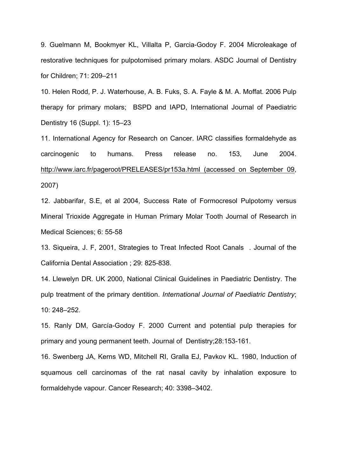9. Guelmann M, Bookmyer KL, Villalta P, Garcia-Godoy F. 2004 Microleakage of restorative techniques for pulpotomised primary molars. ASDC Journal of Dentistry for Children; 71: 209–211

10. Helen Rodd, P. J. Waterhouse, A. B. Fuks, S. A. Fayle & M. A. Moffat. 2006 Pulp therapy for primary molars; BSPD and IAPD, International Journal of Paediatric Dentistry 16 (Suppl. 1): 15–23

11. International Agency for Research on Cancer. IARC classifies formaldehyde as carcinogenic to humans. Press release no. 153, June 2004. http://www.iarc.fr/pageroot/PRELEASES/pr153a.html (accessed on September 09, 2007)

12. Jabbarifar, S.E, et al 2004, Success Rate of Formocresol Pulpotomy versus Mineral Trioxide Aggregate in Human Primary Molar Tooth Journal of Research in Medical Sciences; 6: 55-58

13. Siqueira, J. F, 2001, Strategies to Treat Infected Root Canals . Journal of the California Dental Association ; 29: 825-838.

14. Llewelyn DR. UK 2000, National Clinical Guidelines in Paediatric Dentistry. The pulp treatment of the primary dentition. *International Journal of Paediatric Dentistry*; 10: 248–252.

15. Ranly DM, García-Godoy F. 2000 Current and potential pulp therapies for primary and young permanent teeth. Journal of Dentistry;28:153-161.

16. Swenberg JA, Kerns WD, Mitchell RI, Gralla EJ, Pavkov KL. 1980, Induction of squamous cell carcinomas of the rat nasal cavity by inhalation exposure to formaldehyde vapour. Cancer Research; 40: 3398–3402.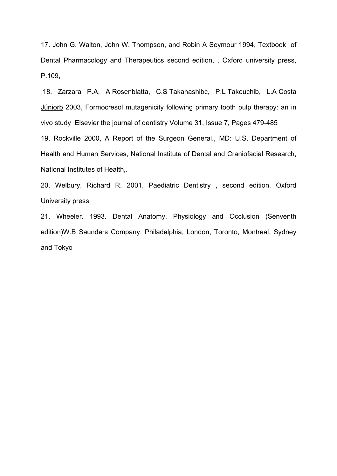17. John G. Walton, John W. Thompson, and Robin A Seymour 1994, Textbook of Dental Pharmacology and Therapeutics second edition, , Oxford university press, P.109,

18. Zarzara P.A, A Rosenblatta, C.S Takahashibc, P.L Takeuchib, L.A Costa Júniorb 2003, Formocresol mutagenicity following primary tooth pulp therapy: an in vivo study Elsevier the journal of dentistry Volume 31, Issue 7, Pages 479-485 19. Rockville 2000, A Report of the Surgeon General., MD: U.S. Department of Health and Human Services, National Institute of Dental and Craniofacial Research, National Institutes of Health,.

20. Welbury, Richard R. 2001, Paediatric Dentistry , second edition. Oxford University press

21. Wheeler. 1993. Dental Anatomy, Physiology and Occlusion (Senventh edition)W.B Saunders Company, Philadelphia, London, Toronto, Montreal, Sydney and Tokyo